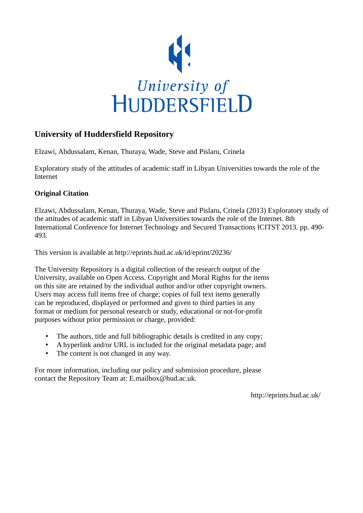

## **University of Huddersfield Repository**

Elzawi, Abdussalam, Kenan, Thuraya, Wade, Steve and Pislaru, Crinela

Exploratory study of the attitudes of academic staff in Libyan Universities towards the role of the Internet

### **Original Citation**

Elzawi, Abdussalam, Kenan, Thuraya, Wade, Steve and Pislaru, Crinela (2013) Exploratory study of the attitudes of academic staff in Libyan Universities towards the role of the Internet. 8th International Conference for Internet Technology and Secured Transactions ICITST 2013. pp. 490- 493.

This version is available at http://eprints.hud.ac.uk/id/eprint/20236/

The University Repository is a digital collection of the research output of the University, available on Open Access. Copyright and Moral Rights for the items on this site are retained by the individual author and/or other copyright owners. Users may access full items free of charge; copies of full text items generally can be reproduced, displayed or performed and given to third parties in any format or medium for personal research or study, educational or not-for-profit purposes without prior permission or charge, provided:

- The authors, title and full bibliographic details is credited in any copy;
- A hyperlink and/or URL is included for the original metadata page; and
- The content is not changed in any way.

For more information, including our policy and submission procedure, please contact the Repository Team at: E.mailbox@hud.ac.uk.

http://eprints.hud.ac.uk/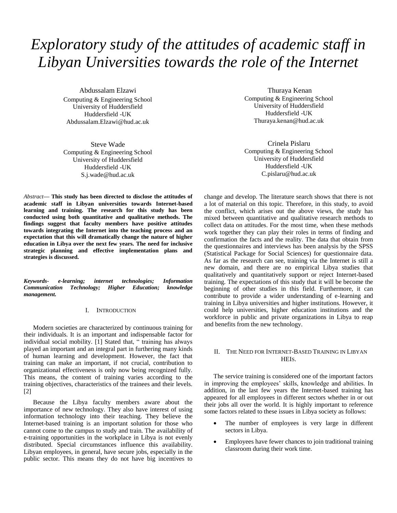# *Exploratory study of the attitudes of academic staff in Libyan Universities towards the role of the Internet*

Abdussalam Elzawi Computing & Engineering School University of Huddersfield Huddersfield -UK Abdussalam.Elzawi@hud.ac.uk

Steve Wade Computing & Engineering School University of Huddersfield Huddersfield -UK S.j.wade@hud.ac.uk

*Abstract***— This study has been directed to disclose the attitudes of academic staff in Libyan universities towards Internet-based learning and training. The research for this study has been conducted using both quantitative and qualitative methods. The findings suggest that faculty members have positive attitudes towards integrating the Internet into the teaching process and an expectation that this will dramatically change the nature of higher education in Libya over the next few years. The need for inclusive strategic planning and effective implementation plans and strategies is discussed.**

*Keywords- e-learning; internet technologies; Information Communication Technology; Higher Education; knowledge management.*

#### I. INTRODUCTION

Modern societies are characterized by continuous training for their individuals. It is an important and indispensable factor for individual social mobility.  $\begin{bmatrix} 1 \end{bmatrix}$  Stated that, " training has always played an important and an integral part in furthering many kinds of human learning and development. However, the fact that training can make an important, if not crucial, contribution to organizational effectiveness is only now being recognized fully. This means, the content of training varies according to the training objectives, characteristics of the trainees and their levels. [2]

Because the Libya faculty members aware about the importance of new technology. They also have interest of using information technology into their teaching. They believe the Internet-based training is an important solution for those who cannot come to the campus to study and train. The availability of e-training opportunities in the workplace in Libya is not evenly distributed. Special circumstances influence this availability. Libyan employees, in general, have secure jobs, especially in the public sector. This means they do not have big incentives to

Thuraya Kenan Computing & Engineering School University of Huddersfield Huddersfield -UK Thuraya.kenan@hud.ac.uk

Crinela Pislaru Computing & Engineering School University of Huddersfield Huddersfield -UK C.pislaru@hud.ac.uk

change and develop. The literature search shows that there is not a lot of material on this topic. Therefore, in this study, to avoid the conflict, which arises out the above views, the study has mixed between quantitative and qualitative research methods to collect data on attitudes. For the most time, when these methods work together they can play their roles in terms of finding and confirmation the facts and the reality. The data that obtain from the questionnaires and interviews has been analysis by the SPSS (Statistical Package for Social Sciences) for questionnaire data. As far as the research can see, training via the Internet is still a new domain, and there are no empirical Libya studies that qualitatively and quantitatively support or reject Internet-based training. The expectations of this study that it will be become the beginning of other studies in this field. Furthermore, it can contribute to provide a wider understanding of e-learning and training in Libya universities and higher institutions. However, it could help universities, higher education institutions and the workforce in public and private organizations in Libya to reap and benefits from the new technology.

#### II. THE NEED FOR INTERNET-BASED TRAINING IN LIBYAN HEIS.

The service training is considered one of the important factors in improving the employees' skills, knowledge and abilities. In addition, in the last few years the Internet-based training has appeared for all employees in different sectors whether in or out their jobs all over the world. It is highly important to reference some factors related to these issues in Libya society as follows:

- The number of employees is very large in different sectors in Libya.
- Employees have fewer chances to join traditional training classroom during their work time.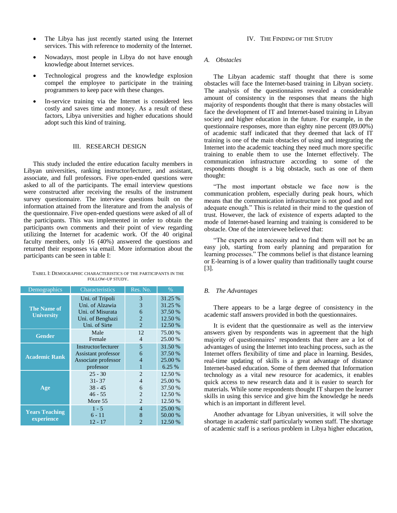- The Libya has just recently started using the Internet services. This with reference to modernity of the Internet.
- Nowadays, most people in Libya do not have enough knowledge about Internet services.
- Technological progress and the knowledge explosion compel the employee to participate in the training programmers to keep pace with these changes.
- In-service training via the Internet is considered less costly and saves time and money. As a result of these factors, Libya universities and higher educations should adopt such this kind of training.

#### III. RESEARCH DESIGN

This study included the entire education faculty members in Libyan universities, ranking instructor/lecturer, and assistant, associate, and full professors. Five open-ended questions were asked to all of the participants. The email interview questions were constructed after receiving the results of the instrument survey questionnaire. The interview questions built on the information attained from the literature and from the analysis of the questionnaire. Five open-ended questions were asked of all of the participants. This was implemented in order to obtain the participants own comments and their point of view regarding utilizing the Internet for academic work. Of the 40 original faculty members, only 16 (40%) answered the questions and returned their responses via email. More information about the participants can be seen in table I:

|                  | TABEL I: DEMOGRAPHIC CHARACTERISTICS OF THE PARTICIPANTS IN THE |
|------------------|-----------------------------------------------------------------|
| FOLLOW-UP STUDY. |                                                                 |

| Demographics                            | <b>Characteristics</b>                                                                      | Res. No.                                        | $\%$                                                |
|-----------------------------------------|---------------------------------------------------------------------------------------------|-------------------------------------------------|-----------------------------------------------------|
| <b>The Name of</b><br><b>University</b> | Uni. of Tripoli<br>Uni. of Alzawia<br>Uni. of Misurata<br>Uni. of Benghazi<br>Uni. of Sirte | 3<br>3<br>6<br>$\overline{2}$<br>$\overline{2}$ | 31.25 %<br>31.25 %<br>37.50 %<br>12.50 %<br>12.50 % |
| <b>Gender</b>                           | Male                                                                                        | 12                                              | 75.00 %                                             |
|                                         | Female                                                                                      | $\overline{4}$                                  | 25.00 %                                             |
| <b>Academic Rank</b>                    | Instructor/lecturer                                                                         | 5                                               | 31.50 %                                             |
|                                         | Assistant professor                                                                         | 6                                               | 37.50 %                                             |
|                                         | Associate professor                                                                         | $\overline{4}$                                  | 25.00 %                                             |
|                                         | professor                                                                                   | 1                                               | 6.25%                                               |
| Age                                     | $25 - 30$                                                                                   | $\overline{c}$                                  | 12.50 %                                             |
|                                         | $31 - 37$                                                                                   | $\overline{4}$                                  | 25.00 %                                             |
|                                         | $38 - 45$                                                                                   | 6                                               | 37.50 %                                             |
|                                         | $46 - 55$                                                                                   | $\overline{2}$                                  | 12.50 %                                             |
|                                         | More 55                                                                                     | $\overline{2}$                                  | 12.50 %                                             |
| <b>Years Teaching</b><br>experience     | $1 - 5$<br>$6 - 11$<br>$12 - 17$                                                            | $\overline{4}$<br>8<br>$\overline{c}$           | 25.00 %<br>50.00 %<br>12.50 %                       |

#### IV. THE FINDING OF THE STUDY

#### *A. Obstacles*

The Libyan academic staff thought that there is some obstacles will face the Internet-based training in Libyan society. The analysis of the questionnaires revealed a considerable amount of consistency in the responses that means the high majority of respondents thought that there is many obstacles will face the development of IT and Internet-based training in Libyan society and higher education in the future. For example, in the questionnaire responses, more than eighty nine percent (89.00%) of academic staff indicated that they deemed that lack of IT training is one of the main obstacles of using and integrating the Internet into the academic teaching they need much more specific training to enable them to use the Internet effectively. The communication infrastructure according to some of the respondents thought is a big obstacle, such as one of them thought:

"The most important obstacle we face now is the communication problem, especially during peak hours, which means that the communication infrastructure is not good and not adequate enough." This is related in their mind to the question of trust. However, the lack of existence of experts adapted to the mode of Internet-based learning and training is considered to be obstacle. One of the interviewee believed that:

"The experts are a necessity and to find them will not be an easy job, starting from early planning and preparation for learning processes." The commons belief is that distance learning or E-learning is of a lower quality than traditionally taught course [3].

#### *B. The Advantages*

There appears to be a large degree of consistency in the academic staff answers provided in both the questionnaires.

It is evident that the questionnaire as well as the interview answers given by respondents was in agreement that the high majority of questionnaires' respondents that there are a lot of advantages of using the Internet into teaching process, such as the Internet offers flexibility of time and place in learning. Besides, real-time updating of skills is a great advantage of distance Internet-based education. Some of them deemed that Information technology as a vital new resource for academics, it enables quick access to new research data and it is easier to search for materials. While some respondents thought IT sharpen the learner skills in using this service and give him the knowledge he needs which is an important in different level.

Another advantage for Libyan universities, it will solve the shortage in academic staff particularly women staff. The shortage of academic staff is a serious problem in Libya higher education,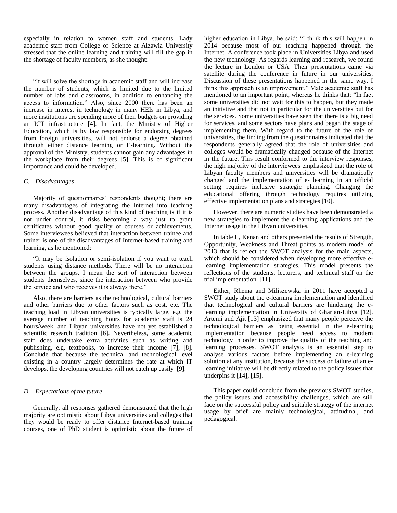especially in relation to women staff and students. Lady academic staff from College of Science at Alzawia University stressed that the online learning and training will fill the gap in the shortage of faculty members, as she thought:

"It will solve the shortage in academic staff and will increase the number of students, which is limited due to the limited number of labs and classrooms, in addition to enhancing the access to information." Also, since 2000 there has been an increase in interest in technology in many HEIs in Libya, and more institutions are spending more of their budgets on providing an ICT infrastructure [4]. In fact, the Ministry of Higher Education, which is by law responsible for endorsing degrees from foreign universities, will not endorse a degree obtained through either distance learning or E-learning. Without the approval of the Ministry, students cannot gain any advantages in the workplace from their degrees [5]. This is of significant importance and could be developed.

#### *C. Disadvantages*

Majority of questionnaires' respondents thought; there are many disadvantages of integrating the Internet into teaching process. Another disadvantage of this kind of teaching is if it is not under control, it risks becoming a way just to grant certificates without good quality of courses or achievements. Some interviewees believed that interaction between trainee and trainer is one of the disadvantages of Internet-based training and learning, as he mentioned:

"It may be isolation or semi-isolation if you want to teach students using distance methods. There will be no interaction between the groups. I mean the sort of interaction between students themselves, since the interaction between who provide the service and who receives it is always there."

Also, there are barriers as the technological, cultural barriers and other barriers due to other factors such as cost, etc. The teaching load in Libyan universities is typically large, e.g. the average number of teaching hours for academic staff is 24 hours/week, and Libyan universities have not yet established a scientific research tradition [6]. Nevertheless, some academic staff does undertake extra activities such as writing and publishing, e.g. textbooks, to increase their income [7], [8]. Conclude that because the technical and technological level existing in a country largely determines the rate at which IT develops, the developing countries will not catch up easily [9].

#### *D. Expectations of the future*

Generally, all responses gathered demonstrated that the high majority are optimistic about Libya universities and colleges that they would be ready to offer distance Internet-based training courses, one of PhD student is optimistic about the future of

higher education in Libya, he said: "I think this will happen in 2014 because most of our teaching happened through the Internet. A conference took place in Universities Libya and used the new technology. As regards learning and research, we found the lecture in London or USA. Their presentations came via satellite during the conference in future in our universities. Discussion of these presentations happened in the same way. I think this approach is an improvement." Male academic staff has mentioned to an important point, whereas he thinks that: "In fact some universities did not wait for this to happen, but they made an initiative and that not in particular for the universities but for the services. Some universities have seen that there is a big need for services, and some sectors have plans and began the stage of implementing them. With regard to the future of the role of universities, the finding from the questionnaires indicated that the respondents generally agreed that the role of universities and colleges would be dramatically changed because of the Internet in the future. This result conformed to the interview responses, the high majority of the interviewees emphasized that the role of Libyan faculty members and universities will be dramatically changed and the implementation of e- learning in an official setting requires inclusive strategic planning. Changing the educational offering through technology requires utilizing effective implementation plans and strategies [10].

However, there are numeric studies have been demonstrated a new strategies to implement the e-learning applications and the Internet usage in the Libyan universities.

In table II, Kenan and others presented the results of Strength, Opportunity, Weakness and Threat points as modern model of 2013 that is reflect the SWOT analysis for the main aspects, which should be considered when developing more effective elearning implementation strategies. This model presents the reflections of the students, lecturers, and technical staff on the trial implementation. [11].

Either, Rhema and Miliszewska in 2011 have accepted a SWOT study about the e-learning implementation and identified that technological and cultural barriers are hindering the elearning implementation in University of Gharian-Libya [12]. Artemi and Ajit [13] emphasized that many people perceive the technological barriers as being essential in the e-learning implementation because people need access to modern technology in order to improve the quality of the teaching and learning processes. SWOT analysis is an essential step to analyse various factors before implementing an e-learning solution at any institution, because the success or failure of an elearning initiative will be directly related to the policy issues that underpins it [14], [15].

This paper could conclude from the previous SWOT studies, the policy issues and accessibility challenges, which are still face on the successful policy and suitable strategy of the internet usage by brief are mainly technological, attitudinal, and pedagogical.